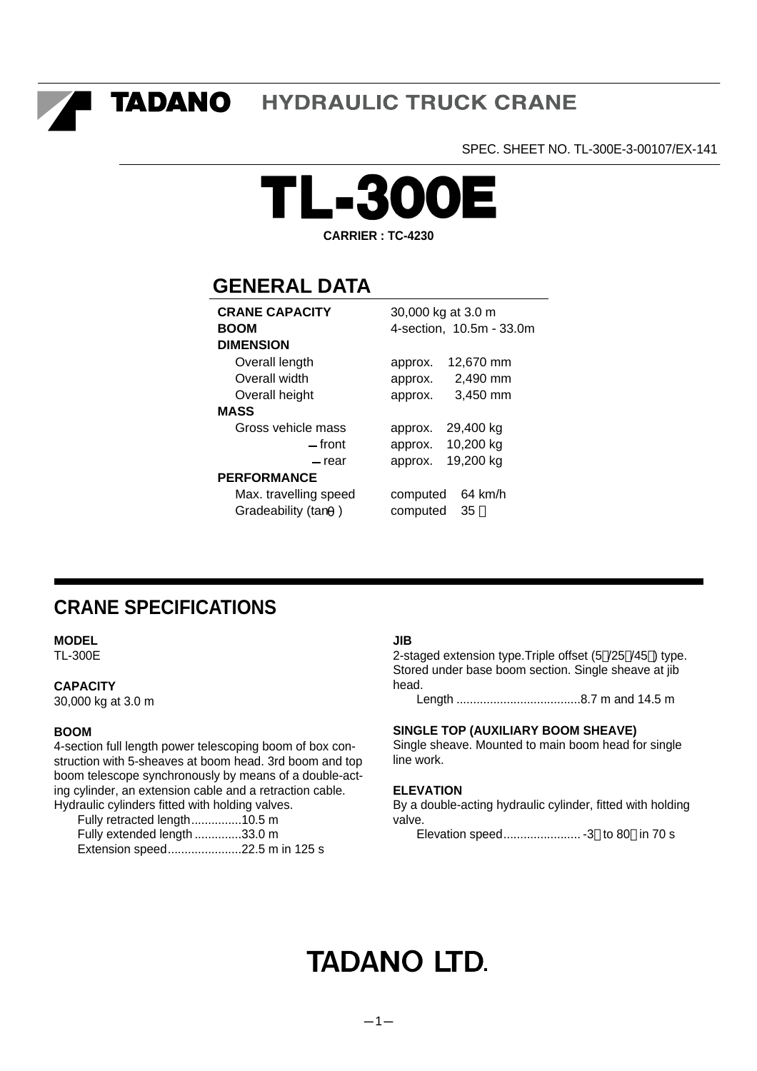TADANO **HYDRAULIC TRUCK CRANE** 

SPEC. SHEET NO. TL-300E-3-00107/EX-141



**CARRIER : TC-4230**

# **GENERAL DATA**

| <b>CRANE CAPACITY</b> | 30,000 kg at 3.0 m            |  |  |  |  |
|-----------------------|-------------------------------|--|--|--|--|
| <b>BOOM</b>           | 4-section, 10.5m - 33.0m      |  |  |  |  |
| <b>DIMENSION</b>      |                               |  |  |  |  |
| Overall length        | 12,670 mm<br>approx.          |  |  |  |  |
| Overall width         | 2,490 mm<br>approx.           |  |  |  |  |
| Overall height        | 3,450 mm<br>approx.           |  |  |  |  |
| MASS                  |                               |  |  |  |  |
| Gross vehicle mass    | 29,400 kg<br>approx.          |  |  |  |  |
| — front               | 10,200 kg<br>approx.          |  |  |  |  |
| — rear                | 19,200 kg<br>approx.          |  |  |  |  |
| <b>PERFORMANCE</b>    |                               |  |  |  |  |
| Max. travelling speed | $64 \text{ km/h}$<br>computed |  |  |  |  |
| Gradeability (tan     | 35<br>computed                |  |  |  |  |
|                       |                               |  |  |  |  |

# **CRANE SPECIFICATIONS**

**MODEL**

TL-300E

# **CAPACITY**

30,000 kg at 3.0 m

# **BOOM**

4-section full length power telescoping boom of box construction with 5-sheaves at boom head. 3rd boom and top boom telescope synchronously by means of a double-acting cylinder, an extension cable and a retraction cable. Hydraulic cylinders fitted with holding valves.

Fully retracted length...............10.5 m Fully extended length ..............33.0 m Extension speed......................22.5 m in 125 s

#### **JIB**

2-staged extension type.Triple offset (5 /25 /45 ) type. Stored under base boom section. Single sheave at jib head.

Length .....................................8.7 m and 14.5 m

## **SINGLE TOP (AUXILIARY BOOM SHEAVE)**

Single sheave. Mounted to main boom head for single line work.

## **ELEVATION**

By a double-acting hydraulic cylinder, fitted with holding valve.

Elevation speed....................... -3 to 80 in 70 s

# **TADANO LTD.**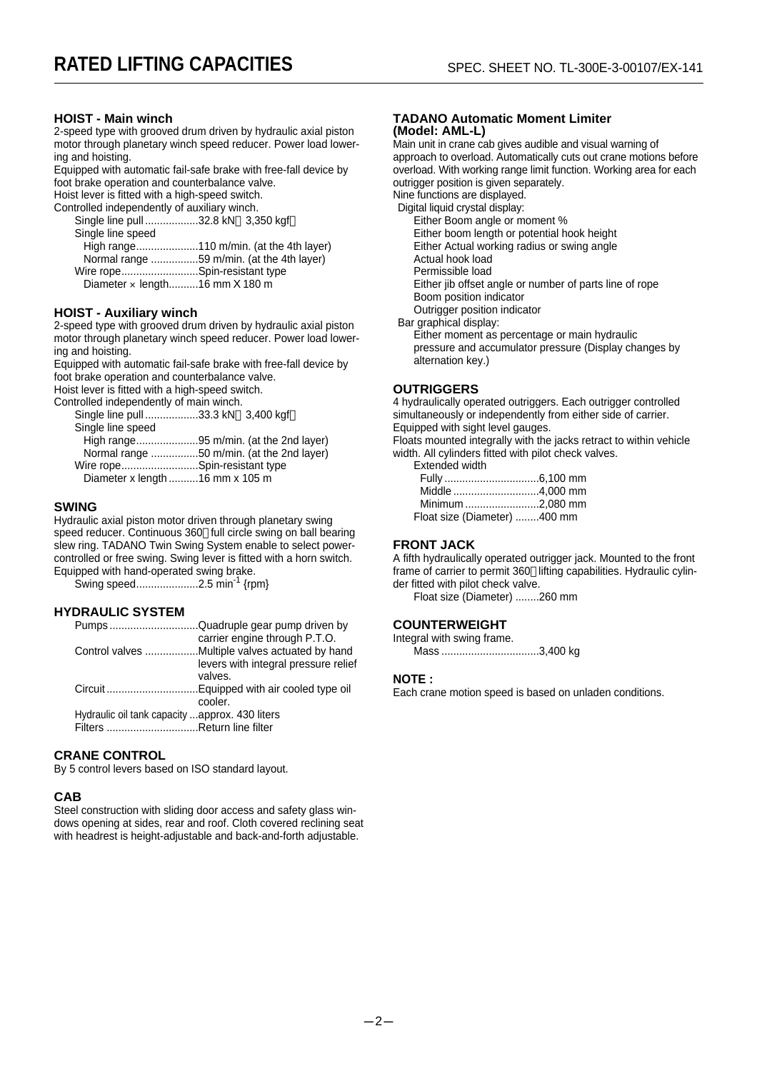#### **HOIST - Main winch**

2-speed type with grooved drum driven by hydraulic axial piston motor through planetary winch speed reducer. Power load lowering and hoisting.

Equipped with automatic fail-safe brake with free-fall device by foot brake operation and counterbalance valve.

Hoist lever is fitted with a high-speed switch.

Controlled independently of auxiliary winch.

Single line pull ..................32.8 kN 3,350 kgf Single line speed High range.....................110 m/min. (at the 4th layer)

Normal range ................59 m/min. (at the 4th layer) Wire rope..........................Spin-resistant type Diameter × length..........16 mm X 180 m

#### **HOIST - Auxiliary winch**

2-speed type with grooved drum driven by hydraulic axial piston motor through planetary winch speed reducer. Power load lowering and hoisting.

Equipped with automatic fail-safe brake with free-fall device by foot brake operation and counterbalance valve.

Hoist lever is fitted with a high-speed switch.

Controlled independently of main winch.

| Single line pull 33.3 kN 3,400 kgf        |  |
|-------------------------------------------|--|
| Single line speed                         |  |
| High range95 m/min. (at the 2nd layer)    |  |
| Normal range 50 m/min. (at the 2nd layer) |  |
| Wire ropeSpin-resistant type              |  |
|                                           |  |

Diameter x length ..........16 mm x 105 m

#### **SWING**

Hydraulic axial piston motor driven through planetary swing speed reducer. Continuous 360 full circle swing on ball bearing slew ring. TADANO Twin Swing System enable to select powercontrolled or free swing. Swing lever is fitted with a horn switch. Equipped with hand-operated swing brake.

Swing speed........................2.5 min<sup>-1</sup> {rpm}

#### **HYDRAULIC SYSTEM**

|                                                | PumpsQuadruple gear pump driven by   |
|------------------------------------------------|--------------------------------------|
|                                                | carrier engine through P.T.O.        |
|                                                |                                      |
|                                                | levers with integral pressure relief |
|                                                | valves.                              |
|                                                |                                      |
|                                                | cooler.                              |
| Hydraulic oil tank capacity approx. 430 liters |                                      |
| Filters Return line filter                     |                                      |
|                                                |                                      |

#### **CRANE CONTROL**

By 5 control levers based on ISO standard layout.

#### **CAB**

Steel construction with sliding door access and safety glass windows opening at sides, rear and roof. Cloth covered reclining seat with headrest is height-adjustable and back-and-forth adjustable.

#### **TADANO Automatic Moment Limiter (Model: AML-L)**

Main unit in crane cab gives audible and visual warning of approach to overload. Automatically cuts out crane motions before overload. With working range limit function. Working area for each outrigger position is given separately. Nine functions are displayed.

Digital liquid crystal display:

- Either Boom angle or moment %
- Either boom length or potential hook height
- Either Actual working radius or swing angle
- Actual hook load
- Permissible load

Either jib offset angle or number of parts line of rope

Boom position indicator

Outrigger position indicator Bar graphical display:

alternation key.)

Either moment as percentage or main hydraulic pressure and accumulator pressure (Display changes by

#### **OUTRIGGERS**

4 hydraulically operated outriggers. Each outrigger controlled simultaneously or independently from either side of carrier. Equipped with sight level gauges.

Floats mounted integrally with the jacks retract to within vehicle width. All cylinders fitted with pilot check valves.

Extended width

| Middle 4,000 mm              |  |
|------------------------------|--|
| Minimum 2.080 mm             |  |
| Float size (Diameter) 400 mm |  |

#### **FRONT JACK**

A fifth hydraulically operated outrigger jack. Mounted to the front frame of carrier to permit 360 lifting capabilities. Hydraulic cylinder fitted with pilot check valve.

Float size (Diameter) ........260 mm

#### **COUNTERWEIGHT**

Integral with swing frame. Mass .................................3,400 kg

#### **NOTE :**

Each crane motion speed is based on unladen conditions.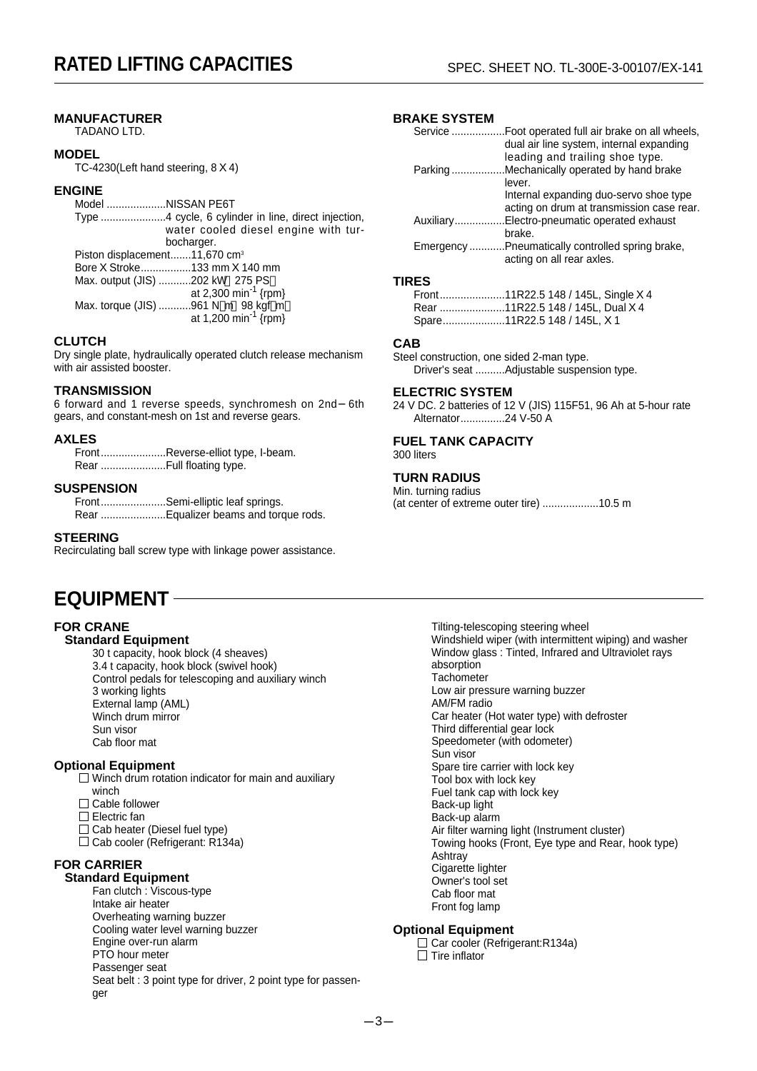# **MANUFACTURER**

TADANO LTD.

#### **MODEL**

TC-4230(Left hand steering, 8 X 4)

#### **ENGINE**

Model ....................NISSAN PE6T Type ......................4 cycle, 6 cylinder in line, direct injection, water cooled diesel engine with turbocharger. Piston displacement.......11,670 cm<sup>3</sup> Bore X Stroke.................133 mm X 140 mm Max. output (JIS) ...........202 kW 275 PS at 2,300 min<sup>-1</sup> {rpm} Max. torque (JIS) ...........961 N m 98 kgf m at 1,200 min<sup>-1</sup> {rpm}

#### **CLUTCH**

Dry single plate, hydraulically operated clutch release mechanism with air assisted booster.

#### **TRANSMISSION**

6 forward and 1 reverse speeds, synchromesh on 2nd 6th gears, and constant-mesh on 1st and reverse gears.

#### **AXLES**

Front......................Reverse-elliot type, I-beam. Rear ............................Full floating type.

#### **SUSPENSION**

Front......................Semi-elliptic leaf springs. Rear ......................Equalizer beams and torque rods.

#### **STEERING**

Recirculating ball screw type with linkage power assistance.

# **EQUIPMENT**

#### **FOR CRANE**

# **Standard Equipment**

30 t capacity, hook block (4 sheaves) 3.4 t capacity, hook block (swivel hook) Control pedals for telescoping and auxiliary winch 3 working lights External lamp (AML) Winch drum mirror Sun visor Cab floor mat

#### **Optional Equipment**

 $\Box$  Winch drum rotation indicator for main and auxiliary winch  $\Box$  Cable follower

- 
- □ Electric fan
- $\Box$  Cab heater (Diesel fuel type)
- □ Cab cooler (Refrigerant: R134a)

#### **FOR CARRIER Standard Equipment**

Fan clutch : Viscous-type Intake air heater Overheating warning buzzer Cooling water level warning buzzer Engine over-run alarm PTO hour meter Passenger seat Seat belt : 3 point type for driver, 2 point type for passenger

# **BRAKE SYSTEM**

|           | dual air line system, internal expanding         |
|-----------|--------------------------------------------------|
|           | leading and trailing shoe type.                  |
| Parking   | Mechanically operated by hand brake              |
|           | lever.                                           |
|           | Internal expanding duo-servo shoe type           |
|           | acting on drum at transmission case rear.        |
| Auxiliary | Electro-pneumatic operated exhaust               |
|           | brake.                                           |
|           | Emergency Pneumatically controlled spring brake, |
|           | acting on all rear axles.                        |
|           |                                                  |

#### **TIRES**

Front......................11R22.5 148 / 145L, Single X 4 Rear ......................11R22.5 148 / 145L, Dual X 4 Spare.....................11R22.5 148 / 145L, X 1

#### **CAB**

Steel construction, one sided 2-man type. Driver's seat ..........Adjustable suspension type.

#### **ELECTRIC SYSTEM**

24 V DC. 2 batteries of 12 V (JIS) 115F51, 96 Ah at 5-hour rate Alternator...............24 V-50 A

# **FUEL TANK CAPACITY**

300 liters

# **TURN RADIUS**

Min. turning radius (at center of extreme outer tire) ...................10.5 m

> Tilting-telescoping steering wheel Windshield wiper (with intermittent wiping) and washer Window glass : Tinted, Infrared and Ultraviolet rays absorption **Tachometer** Low air pressure warning buzzer AM/FM radio Car heater (Hot water type) with defroster Third differential gear lock Speedometer (with odometer) Sun visor Spare tire carrier with lock key Tool box with lock key Fuel tank cap with lock key Back-up light Back-up alarm Air filter warning light (Instrument cluster) Towing hooks (Front, Eye type and Rear, hook type) **Ashtray** Cigarette lighter Owner's tool set Cab floor mat Front fog lamp

#### **Optional Equipment**

□ Car cooler (Refrigerant:R134a)  $\Box$  Tire inflator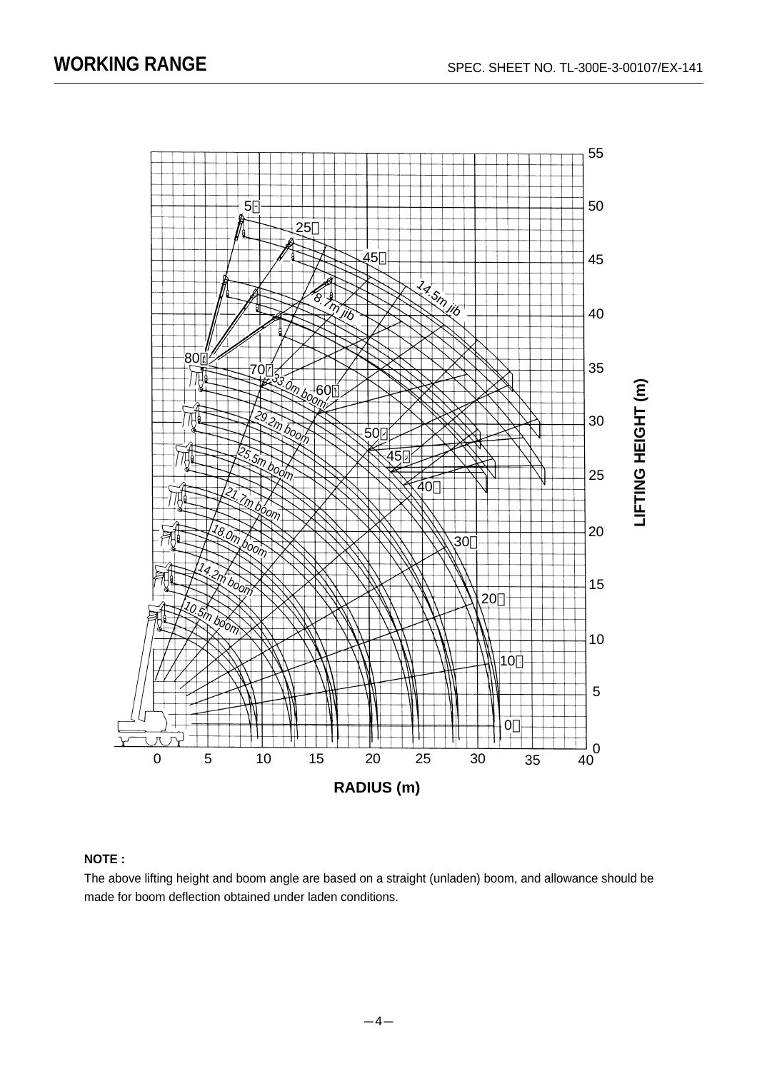

# **NOTE :**

The above lifting height and boom angle are based on a straight (unladen) boom, and allowance should be made for boom deflection obtained under laden conditions.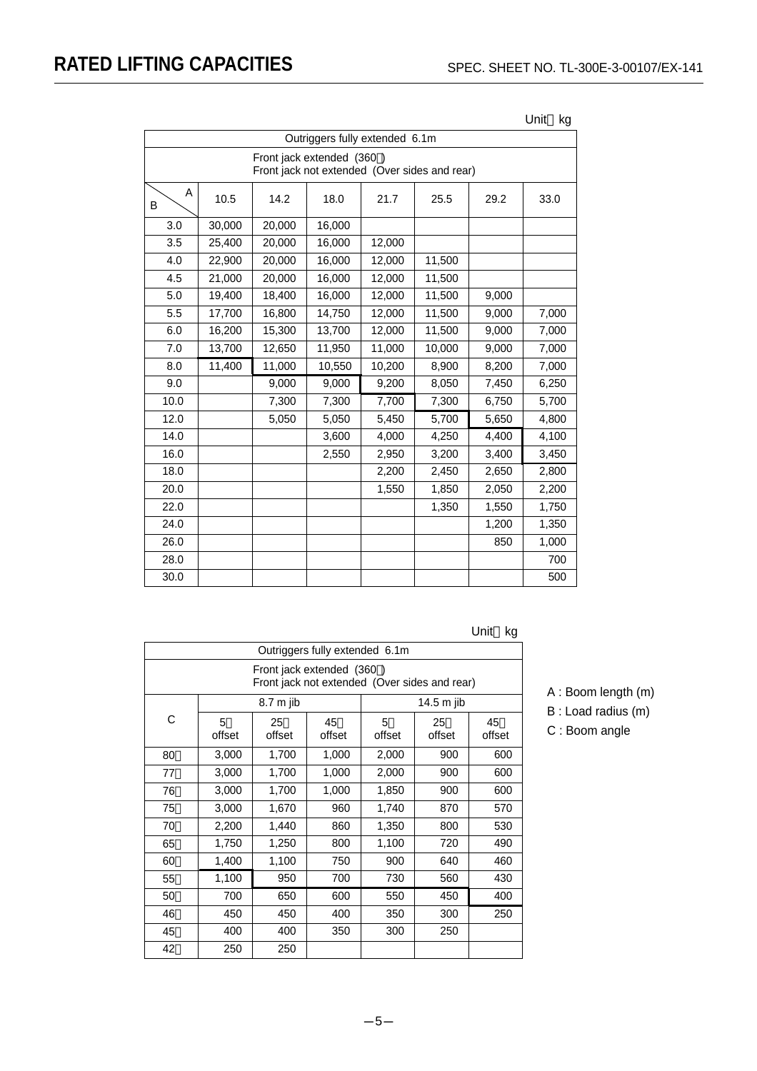| Outriggers fully extended 6.1m |                                                                            |        |        |        |        |       |       |  |  |
|--------------------------------|----------------------------------------------------------------------------|--------|--------|--------|--------|-------|-------|--|--|
|                                | Front jack extended (360)<br>Front jack not extended (Over sides and rear) |        |        |        |        |       |       |  |  |
| A<br>B                         | 10.5                                                                       | 14.2   | 18.0   | 21.7   | 25.5   | 29.2  | 33.0  |  |  |
| 3.0                            | 30,000                                                                     | 20,000 | 16,000 |        |        |       |       |  |  |
| 3.5                            | 25,400                                                                     | 20,000 | 16,000 | 12,000 |        |       |       |  |  |
| 4.0                            | 22,900                                                                     | 20,000 | 16,000 | 12,000 | 11,500 |       |       |  |  |
| 4.5                            | 21,000                                                                     | 20,000 | 16,000 | 12,000 | 11,500 |       |       |  |  |
| 5.0                            | 19,400                                                                     | 18,400 | 16,000 | 12,000 | 11,500 | 9,000 |       |  |  |
| 5.5                            | 17,700                                                                     | 16,800 | 14,750 | 12,000 | 11,500 | 9,000 | 7,000 |  |  |
| 6.0                            | 16,200                                                                     | 15,300 | 13,700 | 12,000 | 11,500 | 9,000 | 7,000 |  |  |
| 7.0                            | 13,700                                                                     | 12,650 | 11,950 | 11,000 | 10,000 | 9,000 | 7,000 |  |  |
| 8.0                            | 11,400                                                                     | 11,000 | 10,550 | 10,200 | 8,900  | 8,200 | 7,000 |  |  |
| 9.0                            |                                                                            | 9,000  | 9,000  | 9,200  | 8,050  | 7,450 | 6,250 |  |  |
| 10.0                           |                                                                            | 7,300  | 7,300  | 7,700  | 7,300  | 6,750 | 5,700 |  |  |
| 12.0                           |                                                                            | 5,050  | 5,050  | 5,450  | 5,700  | 5,650 | 4,800 |  |  |
| 14.0                           |                                                                            |        | 3,600  | 4,000  | 4,250  | 4,400 | 4,100 |  |  |
| 16.0                           |                                                                            |        | 2,550  | 2,950  | 3,200  | 3,400 | 3,450 |  |  |
| 18.0                           |                                                                            |        |        | 2,200  | 2,450  | 2,650 | 2,800 |  |  |
| 20.0                           |                                                                            |        |        | 1,550  | 1,850  | 2,050 | 2,200 |  |  |
| 22.0                           |                                                                            |        |        |        | 1,350  | 1,550 | 1,750 |  |  |
| 24.0                           |                                                                            |        |        |        |        | 1,200 | 1,350 |  |  |
| 26.0                           |                                                                            |        |        |        |        | 850   | 1,000 |  |  |
| 28.0                           |                                                                            |        |        |        |        |       | 700   |  |  |
| 30.0                           |                                                                            |        |        |        |        |       | 500   |  |  |

Unit kg

Unit kg

| Outriggers fully extended 6.1m |                                                                            |              |              |             |              |              |  |  |
|--------------------------------|----------------------------------------------------------------------------|--------------|--------------|-------------|--------------|--------------|--|--|
|                                | Front jack extended (360)<br>Front jack not extended (Over sides and rear) |              |              |             |              |              |  |  |
|                                |                                                                            | 8.7 m jib    |              |             | 14.5 m jib   |              |  |  |
| C                              | 5<br>offset                                                                | 25<br>offset | 45<br>offset | 5<br>offset | 25<br>offset | 45<br>offset |  |  |
| 80                             | 3,000                                                                      | 1,700        | 1,000        | 2,000       | 900          | 600          |  |  |
| 77                             | 3,000                                                                      | 1,700        | 1,000        | 2,000       | 900          | 600          |  |  |
| 76                             | 3,000                                                                      | 1,700        | 1,000        | 1,850       | 900          | 600          |  |  |
| 75                             | 3,000                                                                      | 1,670        | 960          | 1,740       | 870          | 570          |  |  |
| 70                             | 2,200                                                                      | 1,440        | 860          | 1,350       | 800          | 530          |  |  |
| 65                             | 1,750                                                                      | 1,250        | 800          | 1,100       | 720          | 490          |  |  |
| 60                             | 1,400                                                                      | 1,100        | 750          | 900         | 640          | 460          |  |  |
| 55                             | 1,100                                                                      | 950          | 700          | 730         | 560          | 430          |  |  |
| 50                             | 700                                                                        | 650          | 600          | 550         | 450          | 400          |  |  |
| 46                             | 450                                                                        | 450          | 400          | 350         | 300          | 250          |  |  |
| 45                             | 400                                                                        | 400          | 350          | 300         | 250          |              |  |  |
| 42                             | 250                                                                        | 250          |              |             |              |              |  |  |

A : Boom length (m)

B : Load radius (m)

C : Boom angle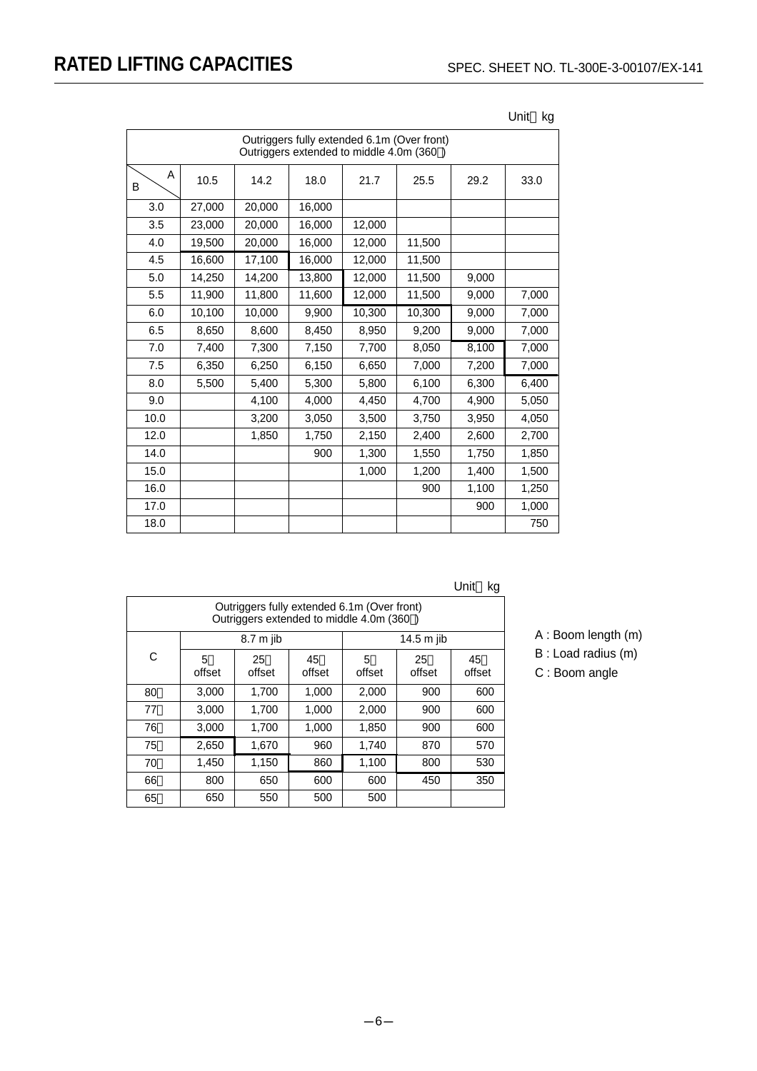|        | Outriggers fully extended 6.1m (Over front)<br>Outriggers extended to middle 4.0m (360) |        |        |        |        |       |       |  |
|--------|-----------------------------------------------------------------------------------------|--------|--------|--------|--------|-------|-------|--|
| A<br>В | 10.5                                                                                    | 14.2   | 18.0   | 21.7   | 25.5   | 29.2  | 33.0  |  |
| 3.0    | 27,000                                                                                  | 20,000 | 16,000 |        |        |       |       |  |
| 3.5    | 23,000                                                                                  | 20,000 | 16,000 | 12,000 |        |       |       |  |
| 4.0    | 19,500                                                                                  | 20,000 | 16,000 | 12,000 | 11,500 |       |       |  |
| 4.5    | 16,600                                                                                  | 17,100 | 16,000 | 12,000 | 11,500 |       |       |  |
| 5.0    | 14,250                                                                                  | 14,200 | 13,800 | 12,000 | 11,500 | 9,000 |       |  |
| 5.5    | 11,900                                                                                  | 11,800 | 11.600 | 12,000 | 11,500 | 9,000 | 7,000 |  |
| 6.0    | 10,100                                                                                  | 10,000 | 9,900  | 10,300 | 10,300 | 9,000 | 7,000 |  |
| 6.5    | 8,650                                                                                   | 8,600  | 8,450  | 8,950  | 9,200  | 9,000 | 7,000 |  |
| 7.0    | 7,400                                                                                   | 7,300  | 7,150  | 7,700  | 8,050  | 8,100 | 7,000 |  |
| 7.5    | 6,350                                                                                   | 6,250  | 6,150  | 6,650  | 7,000  | 7,200 | 7,000 |  |
| 8.0    | 5,500                                                                                   | 5.400  | 5,300  | 5.800  | 6,100  | 6,300 | 6,400 |  |
| 9.0    |                                                                                         | 4,100  | 4,000  | 4,450  | 4,700  | 4,900 | 5,050 |  |
| 10.0   |                                                                                         | 3,200  | 3,050  | 3,500  | 3,750  | 3,950 | 4,050 |  |
| 12.0   |                                                                                         | 1,850  | 1,750  | 2,150  | 2,400  | 2,600 | 2,700 |  |
| 14.0   |                                                                                         |        | 900    | 1,300  | 1,550  | 1,750 | 1,850 |  |
| 15.0   |                                                                                         |        |        | 1,000  | 1,200  | 1,400 | 1,500 |  |
| 16.0   |                                                                                         |        |        |        | 900    | 1,100 | 1,250 |  |
| 17.0   |                                                                                         |        |        |        |        | 900   | 1,000 |  |
| 18.0   |                                                                                         |        |        |        |        |       | 750   |  |

Unit kg

| Unit | kg |
|------|----|
|------|----|

|    | Outriggers fully extended 6.1m (Over front)<br>Outriggers extended to middle 4.0m (360) |           |              |             |              |              |  |  |
|----|-----------------------------------------------------------------------------------------|-----------|--------------|-------------|--------------|--------------|--|--|
|    |                                                                                         | 8.7 m jib |              |             | 14.5 m jib   |              |  |  |
| С  | 5<br>offset                                                                             |           | 45<br>offset | 5<br>offset | 25<br>offset | 45<br>offset |  |  |
| 80 | 3.000                                                                                   | 1.700     | 1,000        | 2,000       | 900          | 600          |  |  |
| 77 | 3.000                                                                                   | 1,700     | 1,000        | 2,000       | 900          | 600          |  |  |
| 76 | 3,000                                                                                   | 1,700     | 1,000        | 1,850       | 900          | 600          |  |  |
| 75 | 2,650                                                                                   | 1,670     | 960          | 1,740       | 870          | 570          |  |  |
| 70 | 1,450                                                                                   | 1,150     | 860          | 1,100       | 800          | 530          |  |  |
| 66 | 800                                                                                     | 650       | 600          | 600         | 450          | 350          |  |  |
| 65 | 650                                                                                     | 550       | 500          | 500         |              |              |  |  |

- A : Boom length (m)
- B : Load radius (m)
- C : Boom angle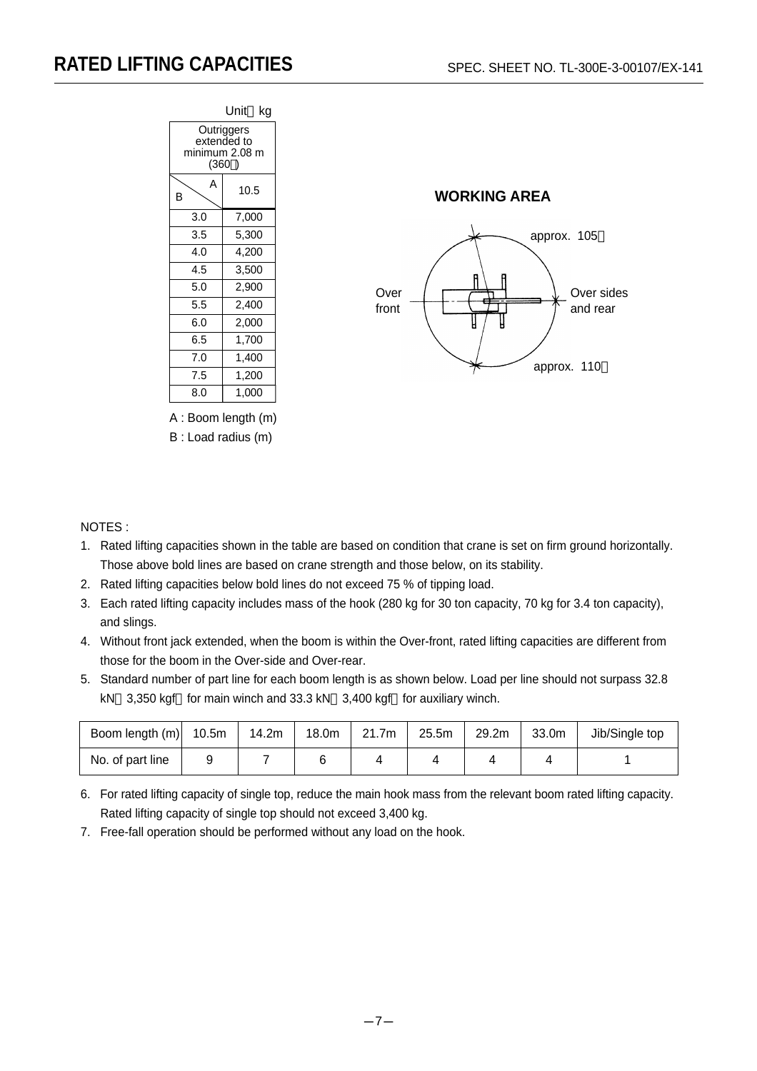



A : Boom length (m) B : Load radius (m)

# NOTES :

- 1. Rated lifting capacities shown in the table are based on condition that crane is set on firm ground horizontally. Those above bold lines are based on crane strength and those below, on its stability.
- 2. Rated lifting capacities below bold lines do not exceed 75 % of tipping load.
- 3. Each rated lifting capacity includes mass of the hook (280 kg for 30 ton capacity, 70 kg for 3.4 ton capacity), and slings.
- 4. Without front jack extended, when the boom is within the Over-front, rated lifting capacities are different from those for the boom in the Over-side and Over-rear.
- 5. Standard number of part line for each boom length is as shown below. Load per line should not surpass 32.8 kN 3,350 kgf for main winch and 33.3 kN 3,400 kgf for auxiliary winch.

| Boom length (m)  | 10.5m | 14.2m | 18.0m | 21.7m | 25.5m | 29.2m | 33.0m | Jib/Single top |
|------------------|-------|-------|-------|-------|-------|-------|-------|----------------|
| No. of part line | У     |       |       |       |       |       |       |                |

- 6. For rated lifting capacity of single top, reduce the main hook mass from the relevant boom rated lifting capacity. Rated lifting capacity of single top should not exceed 3,400 kg.
- 7. Free-fall operation should be performed without any load on the hook.